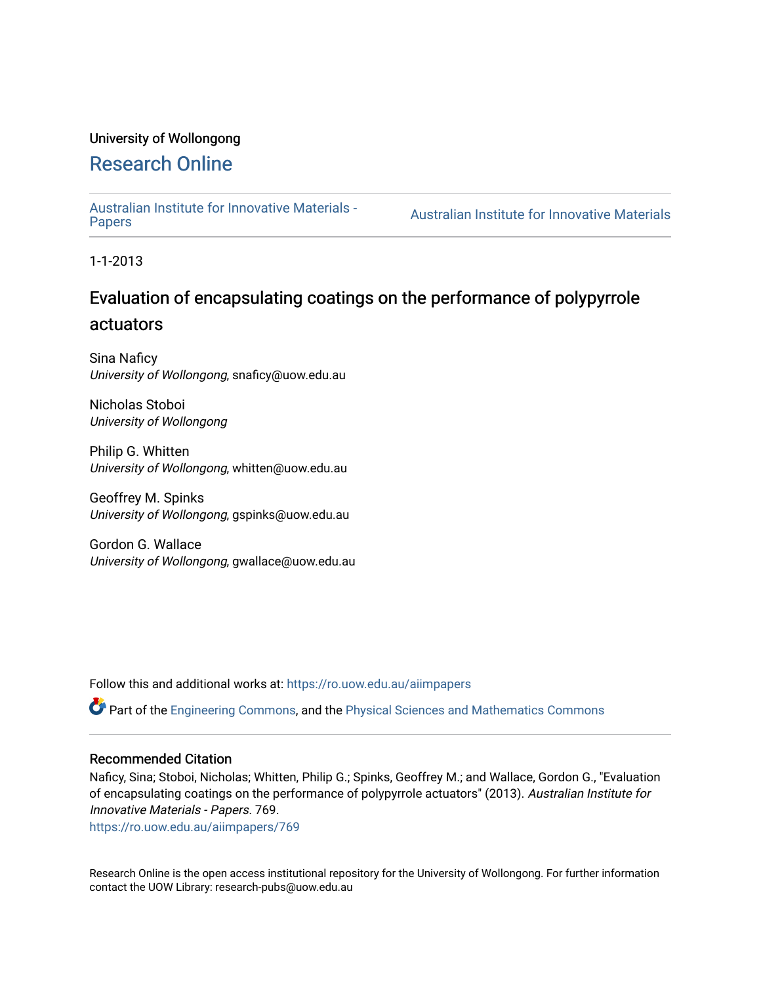# University of Wollongong

# [Research Online](https://ro.uow.edu.au/)

[Australian Institute for Innovative Materials -](https://ro.uow.edu.au/aiimpapers)

Australian Institute for Innovative Materials

1-1-2013

# Evaluation of encapsulating coatings on the performance of polypyrrole actuators

Sina Naficy University of Wollongong, snaficy@uow.edu.au

Nicholas Stoboi University of Wollongong

Philip G. Whitten University of Wollongong, whitten@uow.edu.au

Geoffrey M. Spinks University of Wollongong, gspinks@uow.edu.au

Gordon G. Wallace University of Wollongong, gwallace@uow.edu.au

Follow this and additional works at: [https://ro.uow.edu.au/aiimpapers](https://ro.uow.edu.au/aiimpapers?utm_source=ro.uow.edu.au%2Faiimpapers%2F769&utm_medium=PDF&utm_campaign=PDFCoverPages)

Part of the [Engineering Commons](http://network.bepress.com/hgg/discipline/217?utm_source=ro.uow.edu.au%2Faiimpapers%2F769&utm_medium=PDF&utm_campaign=PDFCoverPages), and the [Physical Sciences and Mathematics Commons](http://network.bepress.com/hgg/discipline/114?utm_source=ro.uow.edu.au%2Faiimpapers%2F769&utm_medium=PDF&utm_campaign=PDFCoverPages) 

### Recommended Citation

Naficy, Sina; Stoboi, Nicholas; Whitten, Philip G.; Spinks, Geoffrey M.; and Wallace, Gordon G., "Evaluation of encapsulating coatings on the performance of polypyrrole actuators" (2013). Australian Institute for Innovative Materials - Papers. 769.

[https://ro.uow.edu.au/aiimpapers/769](https://ro.uow.edu.au/aiimpapers/769?utm_source=ro.uow.edu.au%2Faiimpapers%2F769&utm_medium=PDF&utm_campaign=PDFCoverPages)

Research Online is the open access institutional repository for the University of Wollongong. For further information contact the UOW Library: research-pubs@uow.edu.au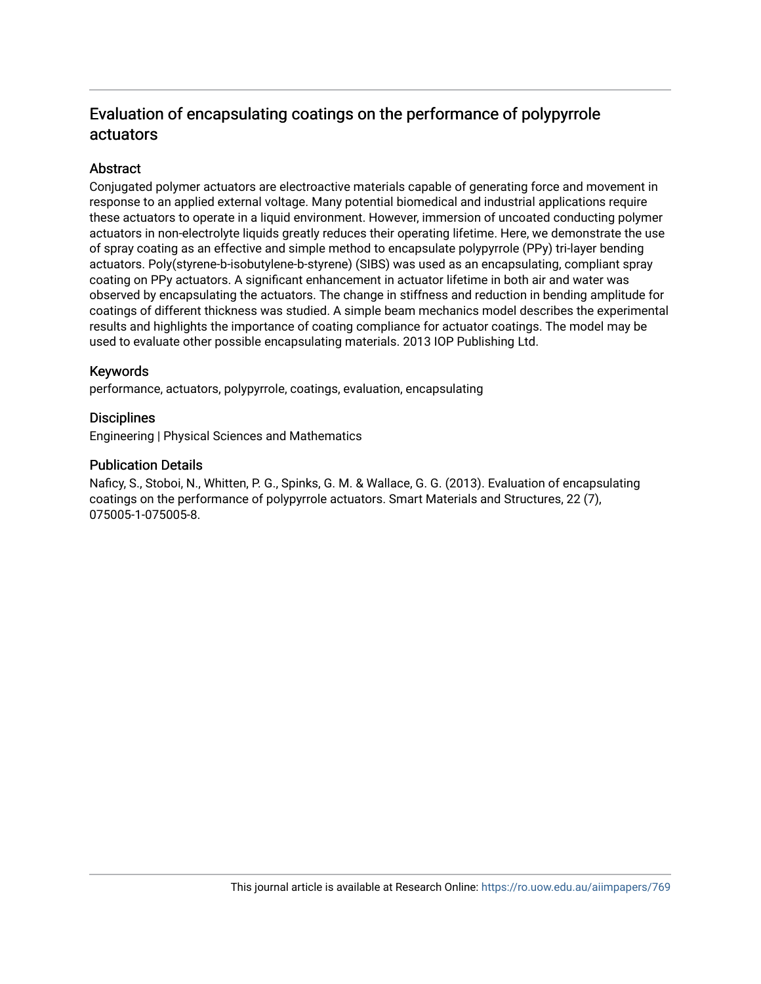# Evaluation of encapsulating coatings on the performance of polypyrrole actuators

## **Abstract**

Conjugated polymer actuators are electroactive materials capable of generating force and movement in response to an applied external voltage. Many potential biomedical and industrial applications require these actuators to operate in a liquid environment. However, immersion of uncoated conducting polymer actuators in non-electrolyte liquids greatly reduces their operating lifetime. Here, we demonstrate the use of spray coating as an effective and simple method to encapsulate polypyrrole (PPy) tri-layer bending actuators. Poly(styrene-b-isobutylene-b-styrene) (SIBS) was used as an encapsulating, compliant spray coating on PPy actuators. A significant enhancement in actuator lifetime in both air and water was observed by encapsulating the actuators. The change in stiffness and reduction in bending amplitude for coatings of different thickness was studied. A simple beam mechanics model describes the experimental results and highlights the importance of coating compliance for actuator coatings. The model may be used to evaluate other possible encapsulating materials. 2013 IOP Publishing Ltd.

## Keywords

performance, actuators, polypyrrole, coatings, evaluation, encapsulating

## **Disciplines**

Engineering | Physical Sciences and Mathematics

### Publication Details

Naficy, S., Stoboi, N., Whitten, P. G., Spinks, G. M. & Wallace, G. G. (2013). Evaluation of encapsulating coatings on the performance of polypyrrole actuators. Smart Materials and Structures, 22 (7), 075005-1-075005-8.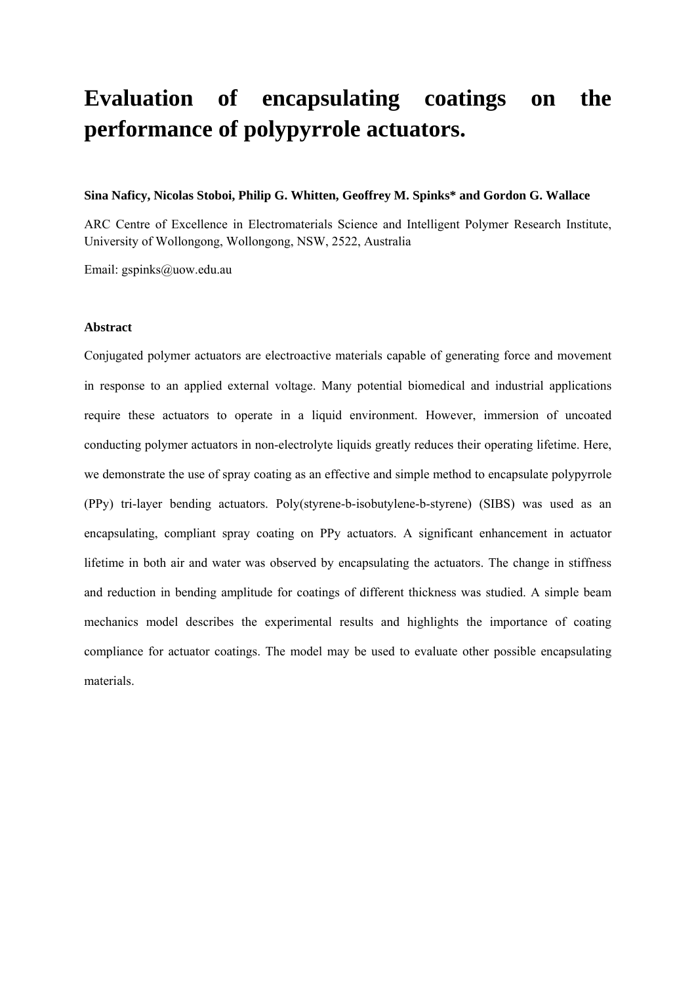# **Evaluation of encapsulating coatings on the performance of polypyrrole actuators.**

### **Sina Naficy, Nicolas Stoboi, Philip G. Whitten, Geoffrey M. Spinks\* and Gordon G. Wallace**

ARC Centre of Excellence in Electromaterials Science and Intelligent Polymer Research Institute, University of Wollongong, Wollongong, NSW, 2522, Australia

Email: gspinks@uow.edu.au

### **Abstract**

Conjugated polymer actuators are electroactive materials capable of generating force and movement in response to an applied external voltage. Many potential biomedical and industrial applications require these actuators to operate in a liquid environment. However, immersion of uncoated conducting polymer actuators in non-electrolyte liquids greatly reduces their operating lifetime. Here, we demonstrate the use of spray coating as an effective and simple method to encapsulate polypyrrole (PPy) tri-layer bending actuators. Poly(styrene-b-isobutylene-b-styrene) (SIBS) was used as an encapsulating, compliant spray coating on PPy actuators. A significant enhancement in actuator lifetime in both air and water was observed by encapsulating the actuators. The change in stiffness and reduction in bending amplitude for coatings of different thickness was studied. A simple beam mechanics model describes the experimental results and highlights the importance of coating compliance for actuator coatings. The model may be used to evaluate other possible encapsulating materials.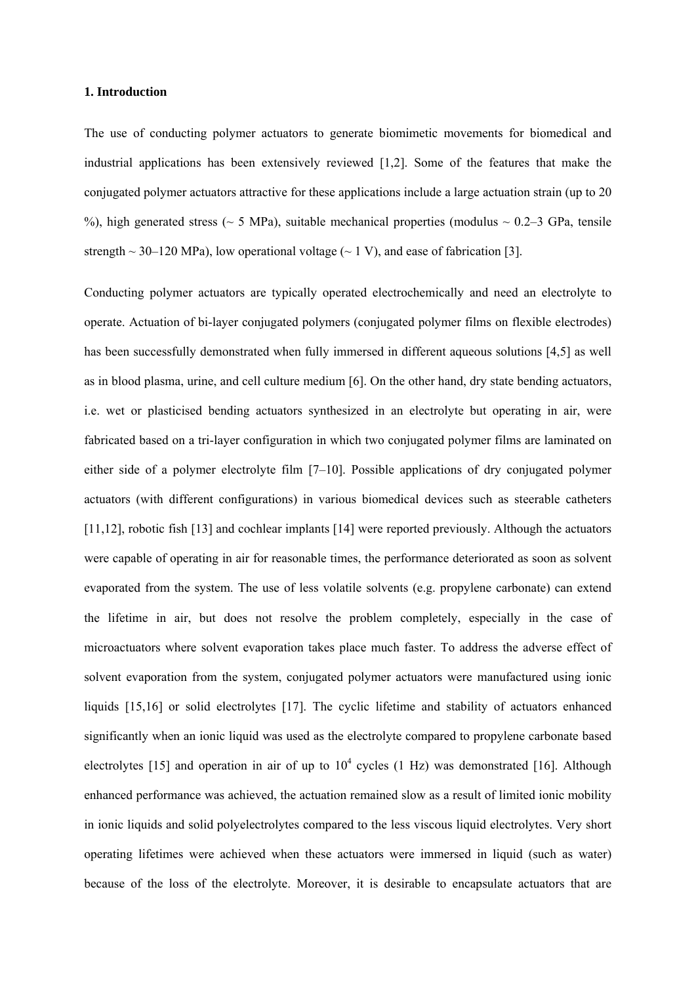#### **1. Introduction**

The use of conducting polymer actuators to generate biomimetic movements for biomedical and industrial applications has been extensively reviewed [1,2]. Some of the features that make the conjugated polymer actuators attractive for these applications include a large actuation strain (up to 20 %), high generated stress ( $\sim$  5 MPa), suitable mechanical properties (modulus  $\sim$  0.2–3 GPa, tensile strength  $\sim$  30–120 MPa), low operational voltage ( $\sim$  1 V), and ease of fabrication [3].

Conducting polymer actuators are typically operated electrochemically and need an electrolyte to operate. Actuation of bi-layer conjugated polymers (conjugated polymer films on flexible electrodes) has been successfully demonstrated when fully immersed in different aqueous solutions [4,5] as well as in blood plasma, urine, and cell culture medium [6]. On the other hand, dry state bending actuators, i.e. wet or plasticised bending actuators synthesized in an electrolyte but operating in air, were fabricated based on a tri-layer configuration in which two conjugated polymer films are laminated on either side of a polymer electrolyte film [7–10]. Possible applications of dry conjugated polymer actuators (with different configurations) in various biomedical devices such as steerable catheters [11,12], robotic fish [13] and cochlear implants [14] were reported previously. Although the actuators were capable of operating in air for reasonable times, the performance deteriorated as soon as solvent evaporated from the system. The use of less volatile solvents (e.g. propylene carbonate) can extend the lifetime in air, but does not resolve the problem completely, especially in the case of microactuators where solvent evaporation takes place much faster. To address the adverse effect of solvent evaporation from the system, conjugated polymer actuators were manufactured using ionic liquids [15,16] or solid electrolytes [17]. The cyclic lifetime and stability of actuators enhanced significantly when an ionic liquid was used as the electrolyte compared to propylene carbonate based electrolytes [15] and operation in air of up to  $10^4$  cycles (1 Hz) was demonstrated [16]. Although enhanced performance was achieved, the actuation remained slow as a result of limited ionic mobility in ionic liquids and solid polyelectrolytes compared to the less viscous liquid electrolytes. Very short operating lifetimes were achieved when these actuators were immersed in liquid (such as water) because of the loss of the electrolyte. Moreover, it is desirable to encapsulate actuators that are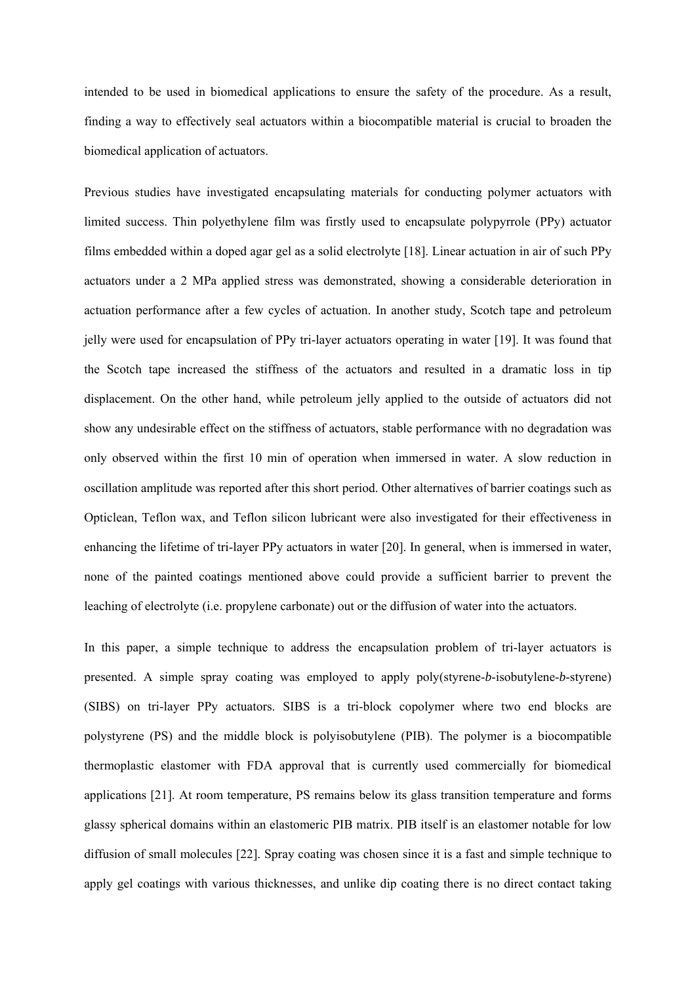intended to be used in biomedical applications to ensure the safety of the procedure. As a result, finding a way to effectively seal actuators within a biocompatible material is crucial to broaden the biomedical application of actuators.

Previous studies have investigated encapsulating materials for conducting polymer actuators with limited success. Thin polyethylene film was firstly used to encapsulate polypyrrole (PPy) actuator films embedded within a doped agar gel as a solid electrolyte [18]. Linear actuation in air of such PPy actuators under a 2 MPa applied stress was demonstrated, showing a considerable deterioration in actuation performance after a few cycles of actuation. In another study, Scotch tape and petroleum jelly were used for encapsulation of PPy tri-layer actuators operating in water [19]. It was found that the Scotch tape increased the stiffness of the actuators and resulted in a dramatic loss in tip displacement. On the other hand, while petroleum jelly applied to the outside of actuators did not show any undesirable effect on the stiffness of actuators, stable performance with no degradation was only observed within the first 10 min of operation when immersed in water. A slow reduction in oscillation amplitude was reported after this short period. Other alternatives of barrier coatings such as Opticlean, Teflon wax, and Teflon silicon lubricant were also investigated for their effectiveness in enhancing the lifetime of tri-layer PPy actuators in water [20]. In general, when is immersed in water, none of the painted coatings mentioned above could provide a sufficient barrier to prevent the leaching of electrolyte (i.e. propylene carbonate) out or the diffusion of water into the actuators.

In this paper, a simple technique to address the encapsulation problem of tri-layer actuators is presented. A simple spray coating was employed to apply poly(styrene-*b*-isobutylene-*b*-styrene) (SIBS) on tri-layer PPy actuators. SIBS is a tri-block copolymer where two end blocks are polystyrene (PS) and the middle block is polyisobutylene (PIB). The polymer is a biocompatible thermoplastic elastomer with FDA approval that is currently used commercially for biomedical applications [21]. At room temperature, PS remains below its glass transition temperature and forms glassy spherical domains within an elastomeric PIB matrix. PIB itself is an elastomer notable for low diffusion of small molecules [22]. Spray coating was chosen since it is a fast and simple technique to apply gel coatings with various thicknesses, and unlike dip coating there is no direct contact taking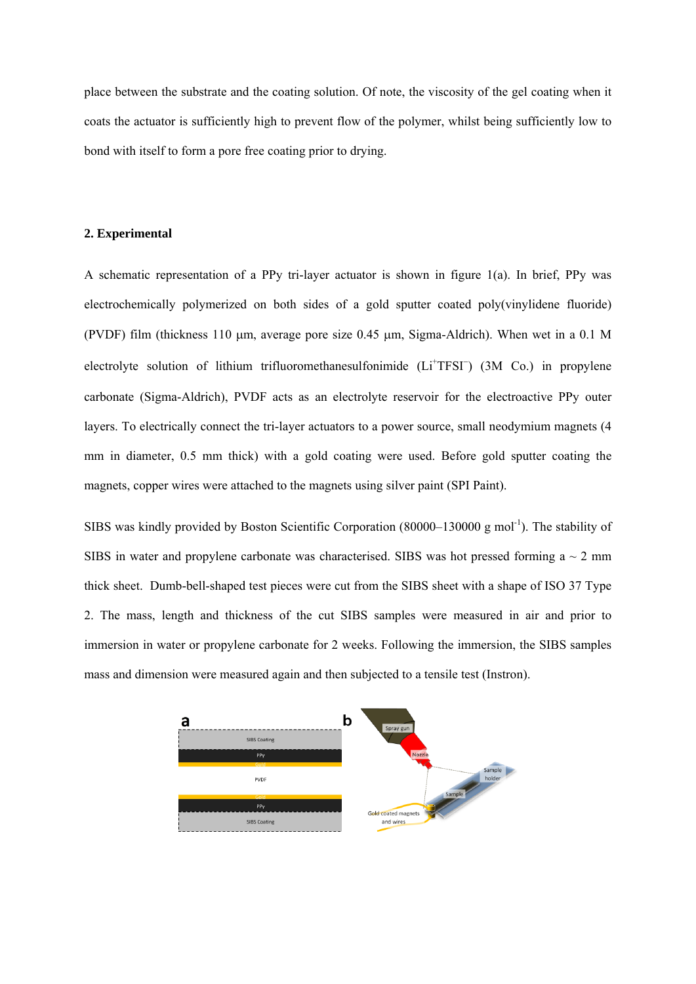place between the substrate and the coating solution. Of note, the viscosity of the gel coating when it coats the actuator is sufficiently high to prevent flow of the polymer, whilst being sufficiently low to bond with itself to form a pore free coating prior to drying.

### **2. Experimental**

A schematic representation of a PPy tri-layer actuator is shown in figure 1(a). In brief, PPy was electrochemically polymerized on both sides of a gold sputter coated poly(vinylidene fluoride) (PVDF) film (thickness 110  $\mu$ m, average pore size 0.45  $\mu$ m, Sigma-Aldrich). When wet in a 0.1 M electrolyte solution of lithium trifluoromethanesulfonimide (Li<sup>+</sup>TFSI<sup>-</sup>) (3M Co.) in propylene carbonate (Sigma-Aldrich), PVDF acts as an electrolyte reservoir for the electroactive PPy outer layers. To electrically connect the tri-layer actuators to a power source, small neodymium magnets (4 mm in diameter, 0.5 mm thick) with a gold coating were used. Before gold sputter coating the magnets, copper wires were attached to the magnets using silver paint (SPI Paint).

SIBS was kindly provided by Boston Scientific Corporation (80000–130000 g mol<sup>-1</sup>). The stability of SIBS in water and propylene carbonate was characterised. SIBS was hot pressed forming  $a \sim 2$  mm thick sheet. Dumb-bell-shaped test pieces were cut from the SIBS sheet with a shape of ISO 37 Type 2. The mass, length and thickness of the cut SIBS samples were measured in air and prior to immersion in water or propylene carbonate for 2 weeks. Following the immersion, the SIBS samples mass and dimension were measured again and then subjected to a tensile test (Instron).

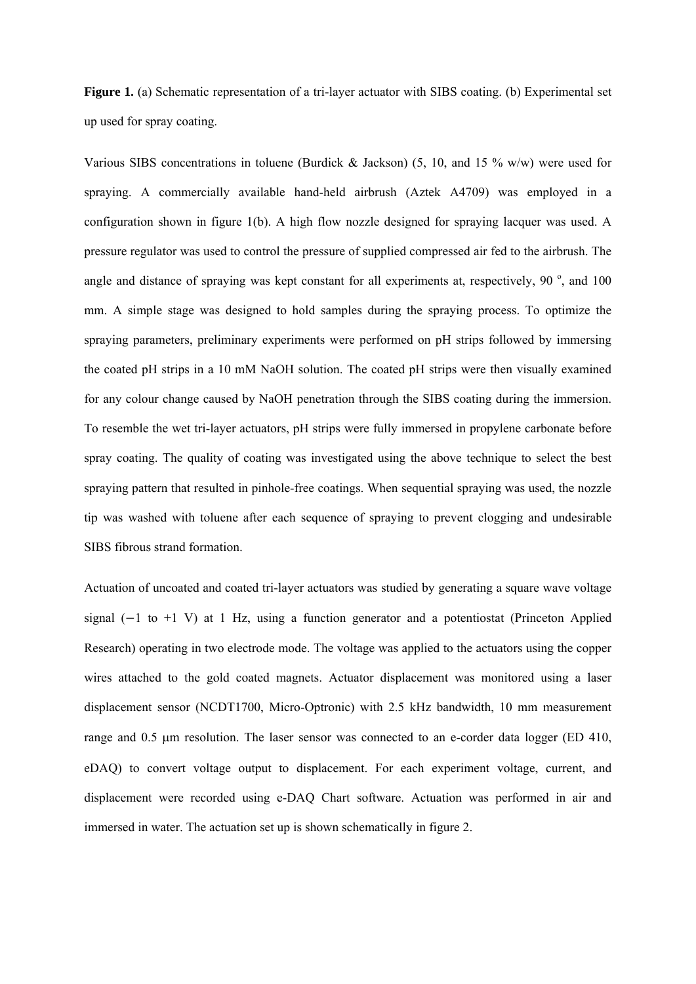**Figure 1.** (a) Schematic representation of a tri-layer actuator with SIBS coating. (b) Experimental set up used for spray coating.

Various SIBS concentrations in toluene (Burdick & Jackson) (5, 10, and 15  $\%$  w/w) were used for spraying. A commercially available hand-held airbrush (Aztek A4709) was employed in a configuration shown in figure 1(b). A high flow nozzle designed for spraying lacquer was used. A pressure regulator was used to control the pressure of supplied compressed air fed to the airbrush. The angle and distance of spraying was kept constant for all experiments at, respectively, 90 $^{\circ}$ , and 100 mm. A simple stage was designed to hold samples during the spraying process. To optimize the spraying parameters, preliminary experiments were performed on pH strips followed by immersing the coated pH strips in a 10 mM NaOH solution. The coated pH strips were then visually examined for any colour change caused by NaOH penetration through the SIBS coating during the immersion. To resemble the wet tri-layer actuators, pH strips were fully immersed in propylene carbonate before spray coating. The quality of coating was investigated using the above technique to select the best spraying pattern that resulted in pinhole-free coatings. When sequential spraying was used, the nozzle tip was washed with toluene after each sequence of spraying to prevent clogging and undesirable SIBS fibrous strand formation.

Actuation of uncoated and coated tri-layer actuators was studied by generating a square wave voltage signal  $(-1)$  to  $+1$  V) at 1 Hz, using a function generator and a potentiostat (Princeton Applied Research) operating in two electrode mode. The voltage was applied to the actuators using the copper wires attached to the gold coated magnets. Actuator displacement was monitored using a laser displacement sensor (NCDT1700, Micro-Optronic) with 2.5 kHz bandwidth, 10 mm measurement range and 0.5 µm resolution. The laser sensor was connected to an e-corder data logger (ED 410, eDAQ) to convert voltage output to displacement. For each experiment voltage, current, and displacement were recorded using e-DAQ Chart software. Actuation was performed in air and immersed in water. The actuation set up is shown schematically in figure 2.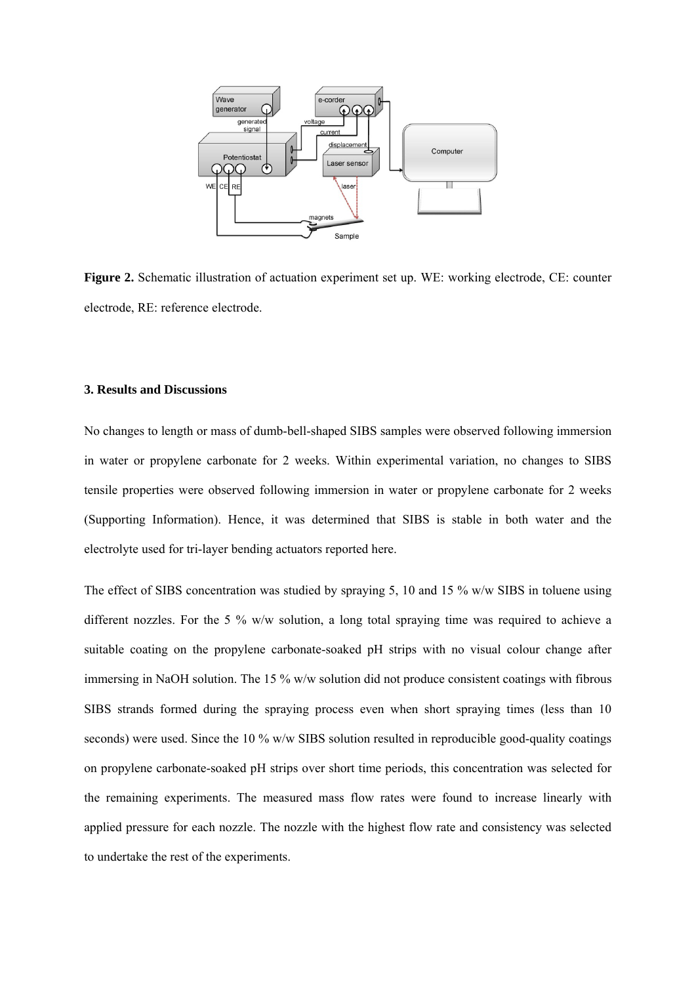

**Figure 2.** Schematic illustration of actuation experiment set up. WE: working electrode, CE: counter electrode, RE: reference electrode.

### **3. Results and Discussions**

No changes to length or mass of dumb-bell-shaped SIBS samples were observed following immersion in water or propylene carbonate for 2 weeks. Within experimental variation, no changes to SIBS tensile properties were observed following immersion in water or propylene carbonate for 2 weeks (Supporting Information). Hence, it was determined that SIBS is stable in both water and the electrolyte used for tri-layer bending actuators reported here.

The effect of SIBS concentration was studied by spraying 5, 10 and 15 % w/w SIBS in toluene using different nozzles. For the 5 %  $w/w$  solution, a long total spraying time was required to achieve a suitable coating on the propylene carbonate-soaked pH strips with no visual colour change after immersing in NaOH solution. The 15 % w/w solution did not produce consistent coatings with fibrous SIBS strands formed during the spraying process even when short spraying times (less than 10 seconds) were used. Since the 10 % w/w SIBS solution resulted in reproducible good-quality coatings on propylene carbonate-soaked pH strips over short time periods, this concentration was selected for the remaining experiments. The measured mass flow rates were found to increase linearly with applied pressure for each nozzle. The nozzle with the highest flow rate and consistency was selected to undertake the rest of the experiments.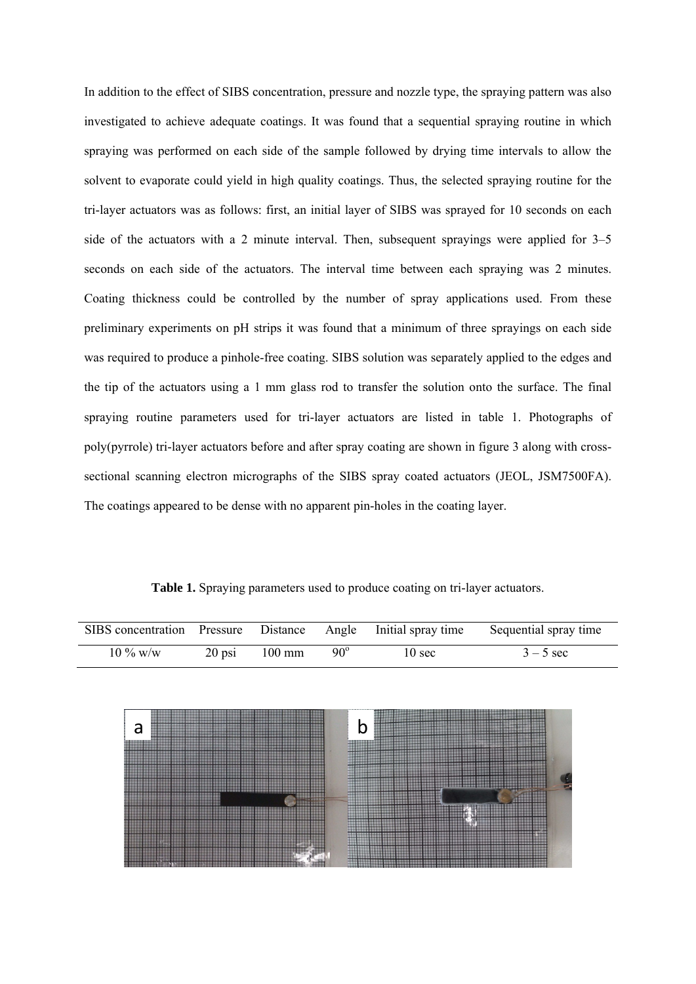In addition to the effect of SIBS concentration, pressure and nozzle type, the spraying pattern was also investigated to achieve adequate coatings. It was found that a sequential spraying routine in which spraying was performed on each side of the sample followed by drying time intervals to allow the solvent to evaporate could yield in high quality coatings. Thus, the selected spraying routine for the tri-layer actuators was as follows: first, an initial layer of SIBS was sprayed for 10 seconds on each side of the actuators with a 2 minute interval. Then, subsequent sprayings were applied for 3–5 seconds on each side of the actuators. The interval time between each spraying was 2 minutes. Coating thickness could be controlled by the number of spray applications used. From these preliminary experiments on pH strips it was found that a minimum of three sprayings on each side was required to produce a pinhole-free coating. SIBS solution was separately applied to the edges and the tip of the actuators using a 1 mm glass rod to transfer the solution onto the surface. The final spraying routine parameters used for tri-layer actuators are listed in table 1. Photographs of poly(pyrrole) tri-layer actuators before and after spray coating are shown in figure 3 along with crosssectional scanning electron micrographs of the SIBS spray coated actuators (JEOL, JSM7500FA). The coatings appeared to be dense with no apparent pin-holes in the coating layer.

**Table 1.** Spraying parameters used to produce coating on tri-layer actuators.

| SIBS concentration Pressure Distance Angle Initial spray time |          |                  |            |        | Sequential spray time |
|---------------------------------------------------------------|----------|------------------|------------|--------|-----------------------|
| $10\%$ w/w                                                    | $20$ psi | $100 \text{ mm}$ | $90^\circ$ | 10 sec | $3 - 5$ sec           |

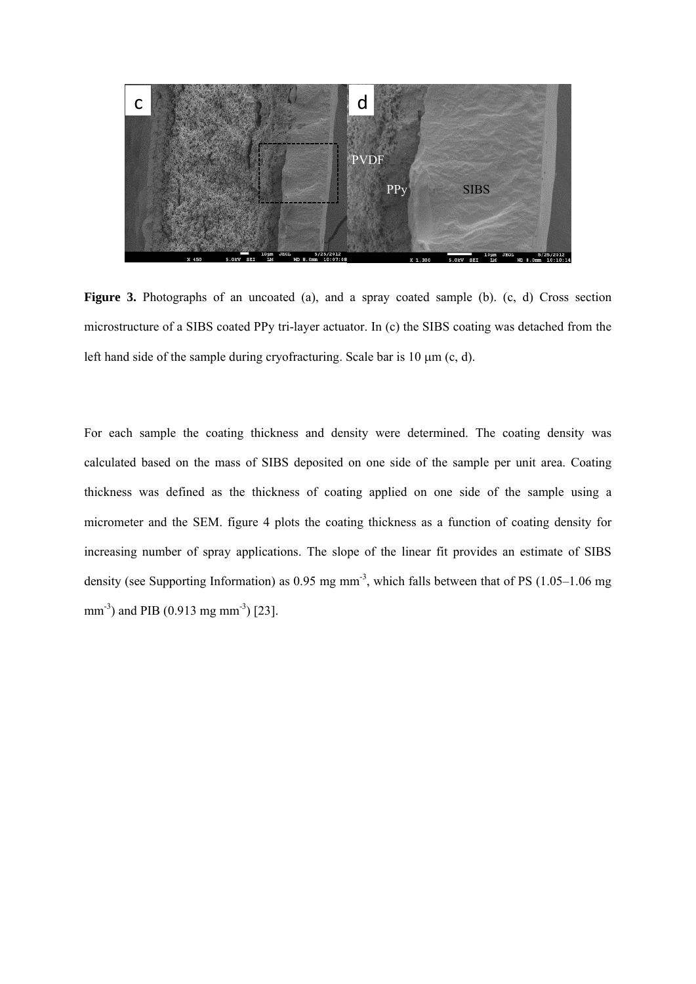

Figure 3. Photographs of an uncoated (a), and a spray coated sample (b). (c, d) Cross section microstructure of a SIBS coated PPy tri-layer actuator. In (c) the SIBS coating was detached from the left hand side of the sample during cryofracturing. Scale bar is  $10 \mu m$  (c, d).

For each sample the coating thickness and density were determined. The coating density was calculated based on the mass of SIBS deposited on one side of the sample per unit area. Coating thickness was defined as the thickness of coating applied on one side of the sample using a micrometer and the SEM. figure 4 plots the coating thickness as a function of coating density for increasing number of spray applications. The slope of the linear fit provides an estimate of SIBS density (see Supporting Information) as  $0.95$  mg mm<sup>-3</sup>, which falls between that of PS  $(1.05-1.06$  mg mm<sup>-3</sup>) and PIB (0.913 mg mm<sup>-3</sup>) [23].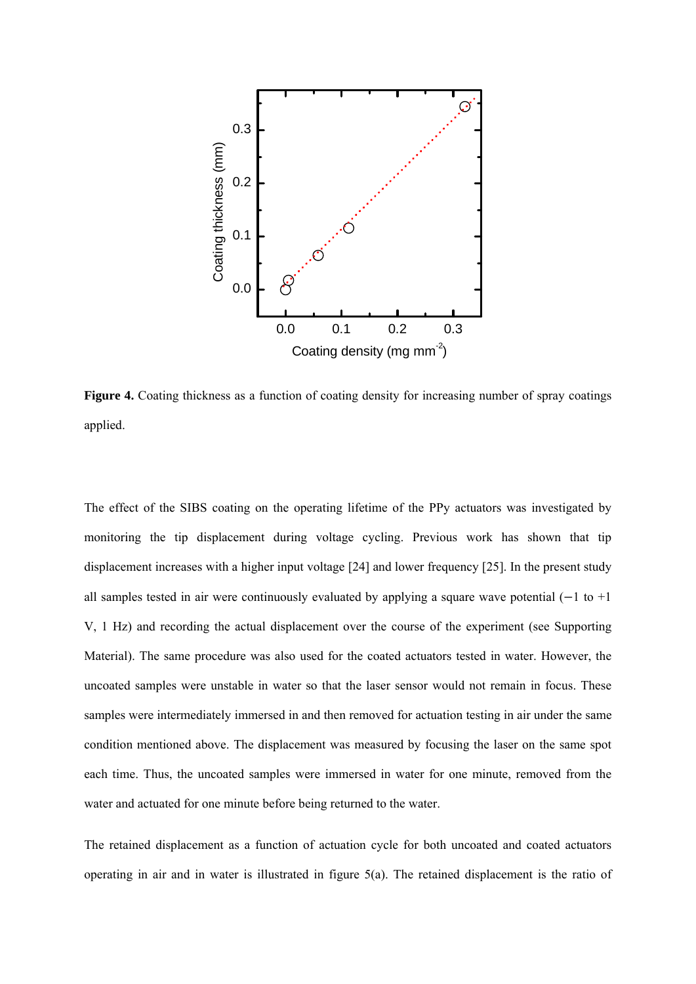

Figure 4. Coating thickness as a function of coating density for increasing number of spray coatings applied.

The effect of the SIBS coating on the operating lifetime of the PPy actuators was investigated by monitoring the tip displacement during voltage cycling. Previous work has shown that tip displacement increases with a higher input voltage [24] and lower frequency [25]. In the present study all samples tested in air were continuously evaluated by applying a square wave potential  $(-1 \text{ to } +1)$ V, 1 Hz) and recording the actual displacement over the course of the experiment (see Supporting Material). The same procedure was also used for the coated actuators tested in water. However, the uncoated samples were unstable in water so that the laser sensor would not remain in focus. These samples were intermediately immersed in and then removed for actuation testing in air under the same condition mentioned above. The displacement was measured by focusing the laser on the same spot each time. Thus, the uncoated samples were immersed in water for one minute, removed from the water and actuated for one minute before being returned to the water.

The retained displacement as a function of actuation cycle for both uncoated and coated actuators operating in air and in water is illustrated in figure 5(a). The retained displacement is the ratio of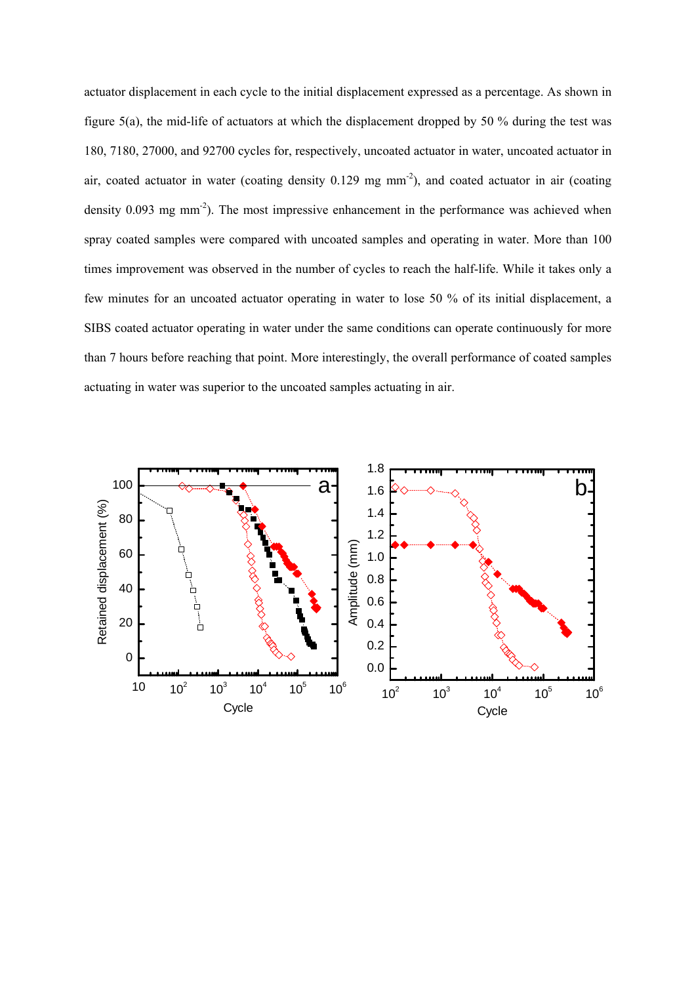actuator displacement in each cycle to the initial displacement expressed as a percentage. As shown in figure 5(a), the mid-life of actuators at which the displacement dropped by 50 % during the test was 180, 7180, 27000, and 92700 cycles for, respectively, uncoated actuator in water, uncoated actuator in air, coated actuator in water (coating density 0.129 mg mm-2), and coated actuator in air (coating density 0.093 mg mm<sup>-2</sup>). The most impressive enhancement in the performance was achieved when spray coated samples were compared with uncoated samples and operating in water. More than 100 times improvement was observed in the number of cycles to reach the half-life. While it takes only a few minutes for an uncoated actuator operating in water to lose 50 % of its initial displacement, a SIBS coated actuator operating in water under the same conditions can operate continuously for more than 7 hours before reaching that point. More interestingly, the overall performance of coated samples actuating in water was superior to the uncoated samples actuating in air.

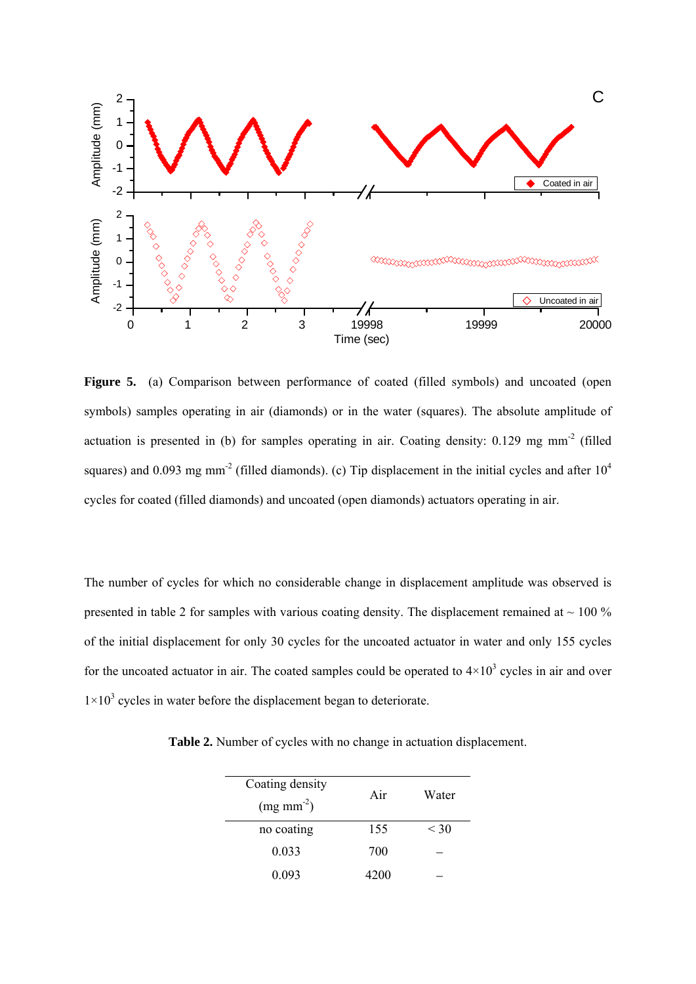

Figure 5. (a) Comparison between performance of coated (filled symbols) and uncoated (open symbols) samples operating in air (diamonds) or in the water (squares). The absolute amplitude of actuation is presented in (b) for samples operating in air. Coating density: 0.129 mg mm-2 (filled squares) and 0.093 mg mm<sup>-2</sup> (filled diamonds). (c) Tip displacement in the initial cycles and after  $10^4$ cycles for coated (filled diamonds) and uncoated (open diamonds) actuators operating in air.

The number of cycles for which no considerable change in displacement amplitude was observed is presented in table 2 for samples with various coating density. The displacement remained at  $\sim$  100 % of the initial displacement for only 30 cycles for the uncoated actuator in water and only 155 cycles for the uncoated actuator in air. The coated samples could be operated to  $4\times10^3$  cycles in air and over  $1 \times 10^3$  cycles in water before the displacement began to deteriorate.

**Table 2.** Number of cycles with no change in actuation displacement.

| Coating density        | Air  | Water  |
|------------------------|------|--------|
| $(mg \text{ mm}^{-2})$ |      |        |
| no coating             | 155  | $<$ 30 |
| 0.033                  | 700  |        |
| 0.093                  | 4200 |        |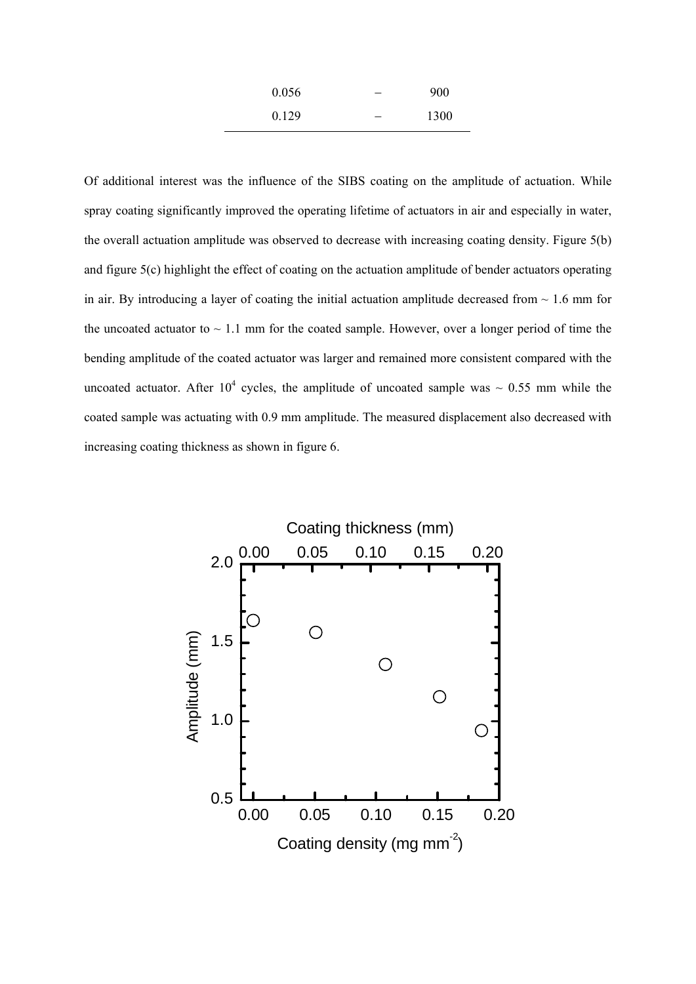| 0.056 | 900  |
|-------|------|
| 0.129 | 1300 |

Of additional interest was the influence of the SIBS coating on the amplitude of actuation. While spray coating significantly improved the operating lifetime of actuators in air and especially in water, the overall actuation amplitude was observed to decrease with increasing coating density. Figure 5(b) and figure 5(c) highlight the effect of coating on the actuation amplitude of bender actuators operating in air. By introducing a layer of coating the initial actuation amplitude decreased from  $\sim 1.6$  mm for the uncoated actuator to  $\sim$  1.1 mm for the coated sample. However, over a longer period of time the bending amplitude of the coated actuator was larger and remained more consistent compared with the uncoated actuator. After 10<sup>4</sup> cycles, the amplitude of uncoated sample was  $\sim 0.55$  mm while the coated sample was actuating with 0.9 mm amplitude. The measured displacement also decreased with increasing coating thickness as shown in figure 6.

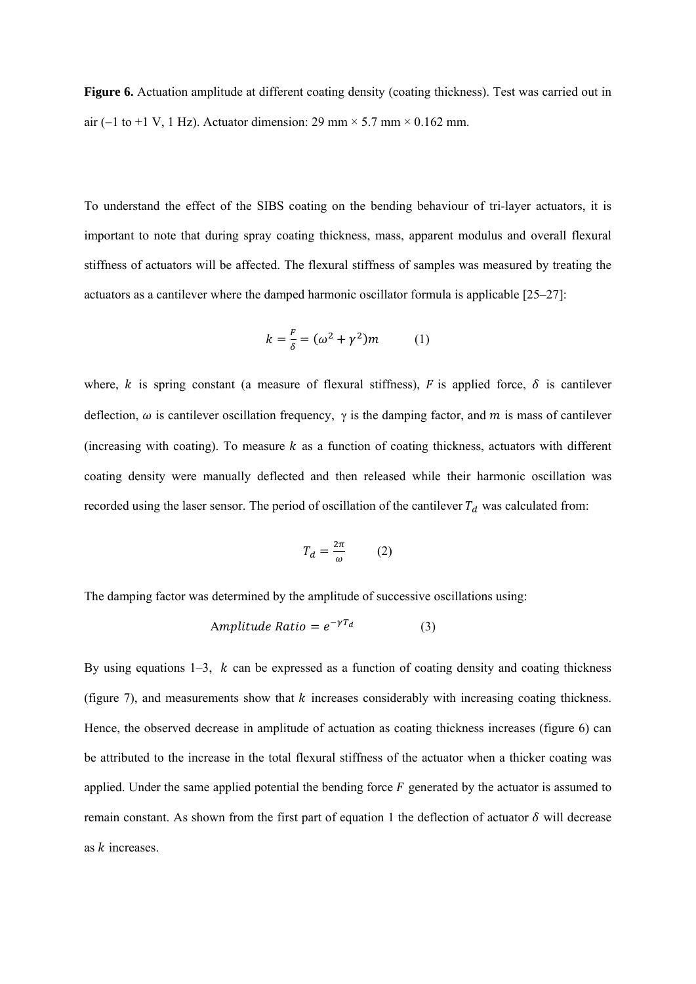**Figure 6.** Actuation amplitude at different coating density (coating thickness). Test was carried out in air (-1 to +1 V, 1 Hz). Actuator dimension: 29 mm  $\times$  5.7 mm  $\times$  0.162 mm.

To understand the effect of the SIBS coating on the bending behaviour of tri-layer actuators, it is important to note that during spray coating thickness, mass, apparent modulus and overall flexural stiffness of actuators will be affected. The flexural stiffness of samples was measured by treating the actuators as a cantilever where the damped harmonic oscillator formula is applicable [25–27]:

$$
k = \frac{F}{\delta} = (\omega^2 + \gamma^2)m \tag{1}
$$

where, k is spring constant (a measure of flexural stiffness), F is applied force,  $\delta$  is cantilever deflection,  $\omega$  is cantilever oscillation frequency,  $\gamma$  is the damping factor, and m is mass of cantilever (increasing with coating). To measure  $k$  as a function of coating thickness, actuators with different coating density were manually deflected and then released while their harmonic oscillation was recorded using the laser sensor. The period of oscillation of the cantilever  $T_d$  was calculated from:

$$
T_d = \frac{2\pi}{\omega} \qquad (2)
$$

The damping factor was determined by the amplitude of successive oscillations using:

$$
Amplitude Ratio = e^{-\gamma T_d} \tag{3}
$$

By using equations  $1-3$ , k can be expressed as a function of coating density and coating thickness (figure 7), and measurements show that  $k$  increases considerably with increasing coating thickness. Hence, the observed decrease in amplitude of actuation as coating thickness increases (figure 6) can be attributed to the increase in the total flexural stiffness of the actuator when a thicker coating was applied. Under the same applied potential the bending force  $F$  generated by the actuator is assumed to remain constant. As shown from the first part of equation 1 the deflection of actuator  $\delta$  will decrease as  $k$  increases.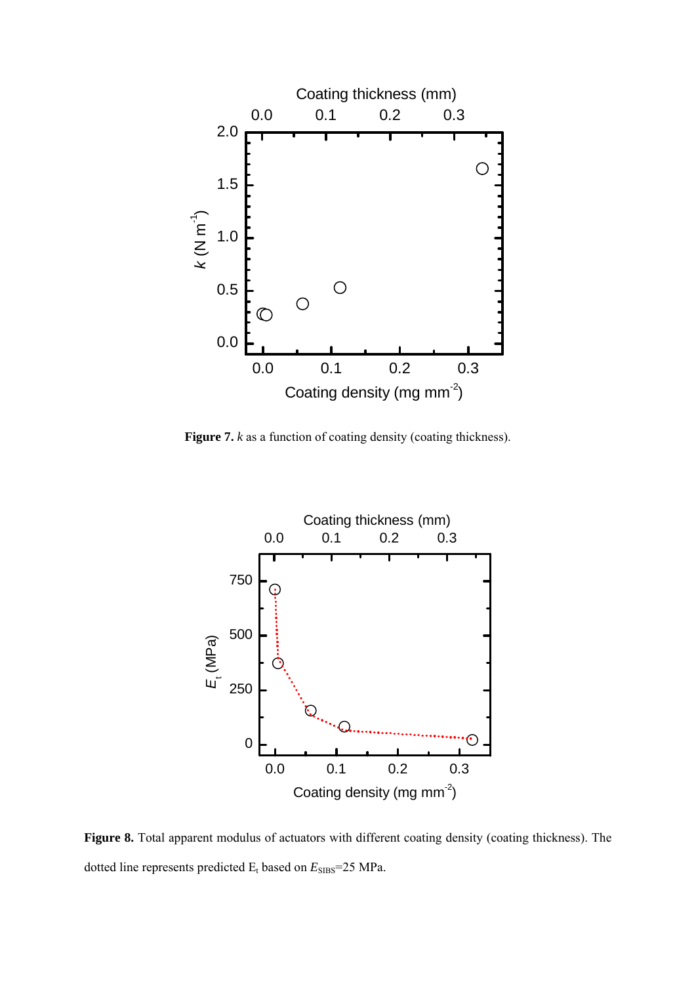

**Figure 7.** *k* as a function of coating density (coating thickness).



Figure 8. Total apparent modulus of actuators with different coating density (coating thickness). The dotted line represents predicted  $E_t$  based on  $E_{\rm SIBS}$ =25 MPa.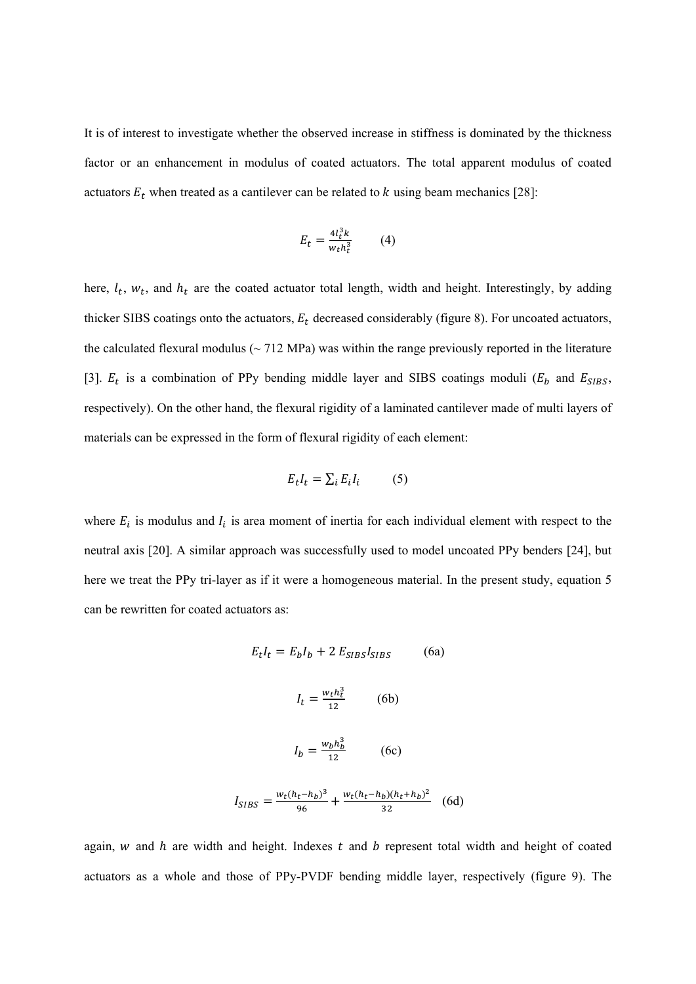It is of interest to investigate whether the observed increase in stiffness is dominated by the thickness factor or an enhancement in modulus of coated actuators. The total apparent modulus of coated actuators  $E_t$  when treated as a cantilever can be related to  $k$  using beam mechanics [28]:

$$
E_t = \frac{4l_t^3 k}{w_t h_t^3} \tag{4}
$$

here,  $l_t$ ,  $w_t$ , and  $h_t$  are the coated actuator total length, width and height. Interestingly, by adding thicker SIBS coatings onto the actuators,  $E_t$  decreased considerably (figure 8). For uncoated actuators, the calculated flexural modulus ( $\sim$  712 MPa) was within the range previously reported in the literature [3].  $E_t$  is a combination of PPy bending middle layer and SIBS coatings moduli ( $E_b$  and  $E_{SIBS}$ , respectively). On the other hand, the flexural rigidity of a laminated cantilever made of multi layers of materials can be expressed in the form of flexural rigidity of each element:

$$
E_t I_t = \sum_i E_i I_i \tag{5}
$$

where  $E_i$  is modulus and  $I_i$  is area moment of inertia for each individual element with respect to the neutral axis [20]. A similar approach was successfully used to model uncoated PPy benders [24], but here we treat the PPy tri-layer as if it were a homogeneous material. In the present study, equation 5 can be rewritten for coated actuators as:

$$
E_t I_t = E_b I_b + 2 E_{SIBS} I_{SIBS}
$$
 (6a)

$$
I_t = \frac{w_t h_t^3}{12} \tag{6b}
$$

$$
I_b = \frac{w_b h_b^3}{12} \tag{6c}
$$

$$
I_{SIBS} = \frac{w_t (h_t - h_b)^3}{96} + \frac{w_t (h_t - h_b)(h_t + h_b)^2}{32} \quad (6d)
$$

again,  $w$  and  $h$  are width and height. Indexes  $t$  and  $b$  represent total width and height of coated actuators as a whole and those of PPy-PVDF bending middle layer, respectively (figure 9). The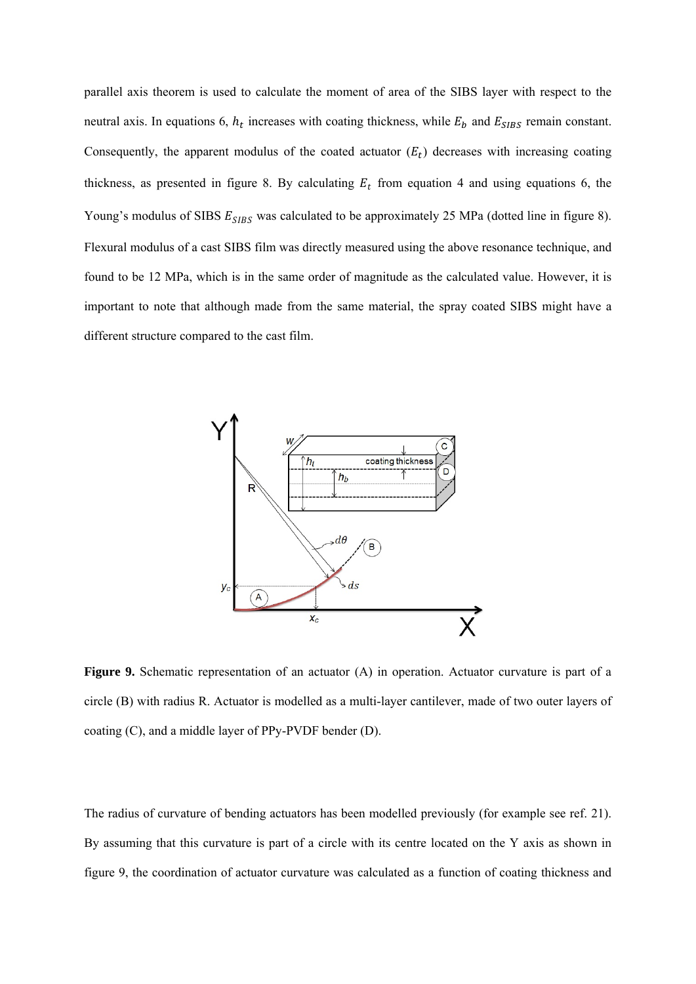parallel axis theorem is used to calculate the moment of area of the SIBS layer with respect to the neutral axis. In equations 6,  $h_t$  increases with coating thickness, while  $E_b$  and  $E_{SIBS}$  remain constant. Consequently, the apparent modulus of the coated actuator  $(E_t)$  decreases with increasing coating thickness, as presented in figure 8. By calculating  $E_t$  from equation 4 and using equations 6, the Young's modulus of SIBS  $E_{SIBS}$  was calculated to be approximately 25 MPa (dotted line in figure 8). Flexural modulus of a cast SIBS film was directly measured using the above resonance technique, and found to be 12 MPa, which is in the same order of magnitude as the calculated value. However, it is important to note that although made from the same material, the spray coated SIBS might have a different structure compared to the cast film.



**Figure 9.** Schematic representation of an actuator (A) in operation. Actuator curvature is part of a circle (B) with radius R. Actuator is modelled as a multi-layer cantilever, made of two outer layers of coating (C), and a middle layer of PPy-PVDF bender (D).

The radius of curvature of bending actuators has been modelled previously (for example see ref. 21). By assuming that this curvature is part of a circle with its centre located on the Y axis as shown in figure 9, the coordination of actuator curvature was calculated as a function of coating thickness and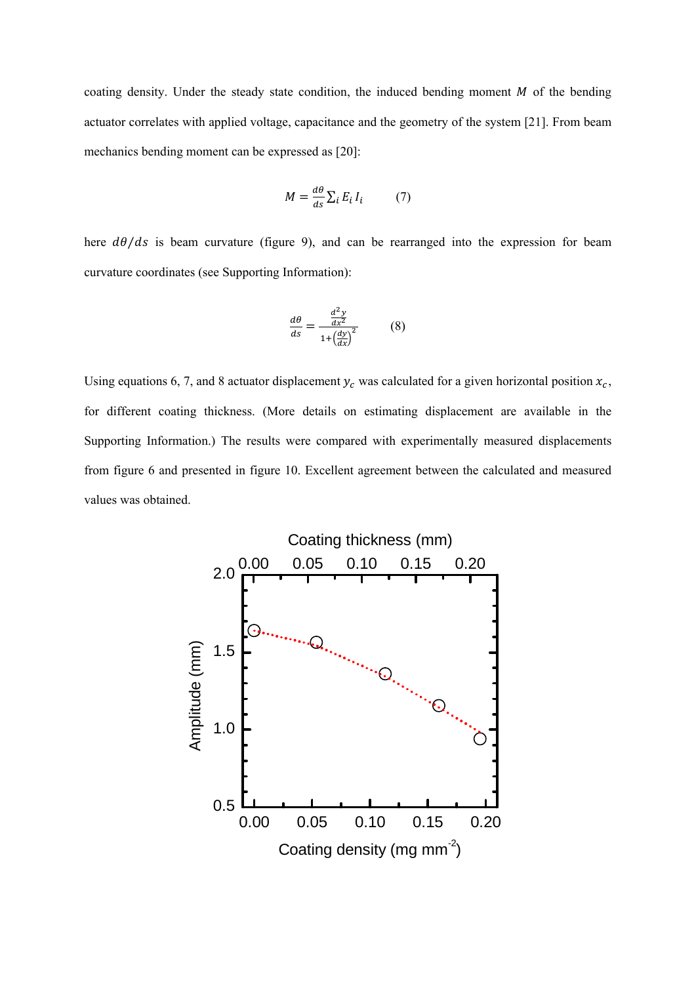coating density. Under the steady state condition, the induced bending moment  $M$  of the bending actuator correlates with applied voltage, capacitance and the geometry of the system [21]. From beam mechanics bending moment can be expressed as [20]:

$$
M = \frac{d\theta}{ds} \sum_{i} E_{i} I_{i} \tag{7}
$$

here  $d\theta/ds$  is beam curvature (figure 9), and can be rearranged into the expression for beam curvature coordinates (see Supporting Information):

$$
\frac{d\theta}{ds} = \frac{\frac{d^2y}{dx^2}}{1 + \left(\frac{dy}{dx}\right)^2} \tag{8}
$$

Using equations 6, 7, and 8 actuator displacement  $y_c$  was calculated for a given horizontal position  $x_c$ , for different coating thickness. (More details on estimating displacement are available in the Supporting Information.) The results were compared with experimentally measured displacements from figure 6 and presented in figure 10. Excellent agreement between the calculated and measured values was obtained.

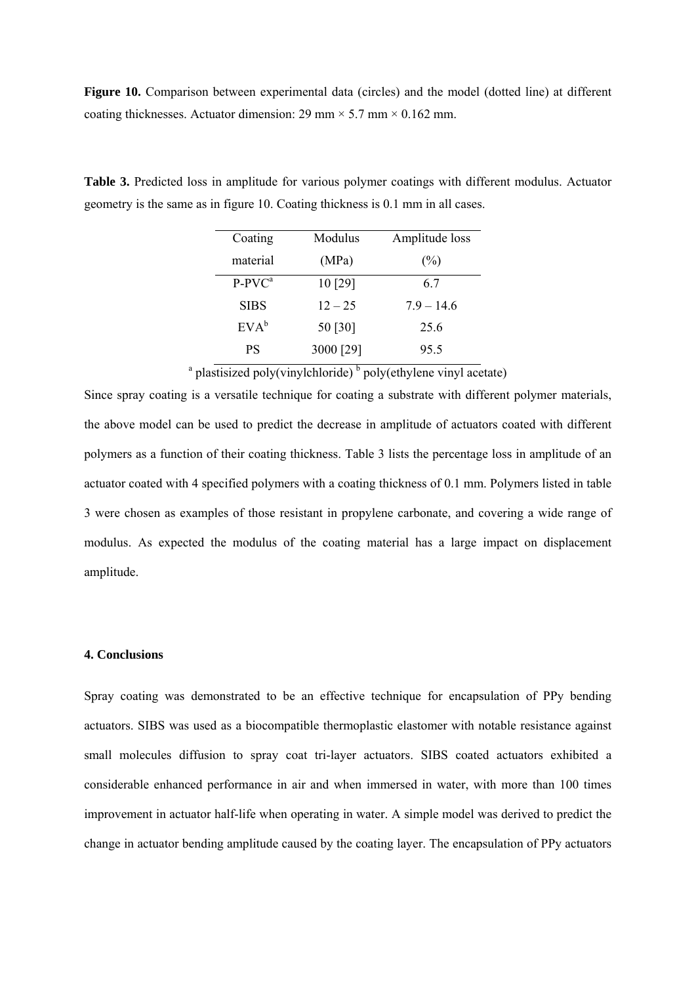**Figure 10.** Comparison between experimental data (circles) and the model (dotted line) at different coating thicknesses. Actuator dimension: 29 mm  $\times$  5.7 mm  $\times$  0.162 mm.

| Coating     | Modulus   | Amplitude loss |
|-------------|-----------|----------------|
| material    | (MPa)     | $(\%)$         |
| $P-PVC^a$   | 10 [29]   | 67             |
| <b>SIBS</b> | $12 - 25$ | $7.9 - 14.6$   |
| $EVA^b$     | 50 [30]   | 25.6           |
| <b>PS</b>   | 3000 [29] | 95.5           |

**Table 3.** Predicted loss in amplitude for various polymer coatings with different modulus. Actuator geometry is the same as in figure 10. Coating thickness is 0.1 mm in all cases.

<sup>a</sup> plastisized poly(vinylchloride)<sup>b</sup> poly(ethylene vinyl acetate)

Since spray coating is a versatile technique for coating a substrate with different polymer materials, the above model can be used to predict the decrease in amplitude of actuators coated with different polymers as a function of their coating thickness. Table 3 lists the percentage loss in amplitude of an actuator coated with 4 specified polymers with a coating thickness of 0.1 mm. Polymers listed in table 3 were chosen as examples of those resistant in propylene carbonate, and covering a wide range of modulus. As expected the modulus of the coating material has a large impact on displacement amplitude.

### **4. Conclusions**

Spray coating was demonstrated to be an effective technique for encapsulation of PPy bending actuators. SIBS was used as a biocompatible thermoplastic elastomer with notable resistance against small molecules diffusion to spray coat tri-layer actuators. SIBS coated actuators exhibited a considerable enhanced performance in air and when immersed in water, with more than 100 times improvement in actuator half-life when operating in water. A simple model was derived to predict the change in actuator bending amplitude caused by the coating layer. The encapsulation of PPy actuators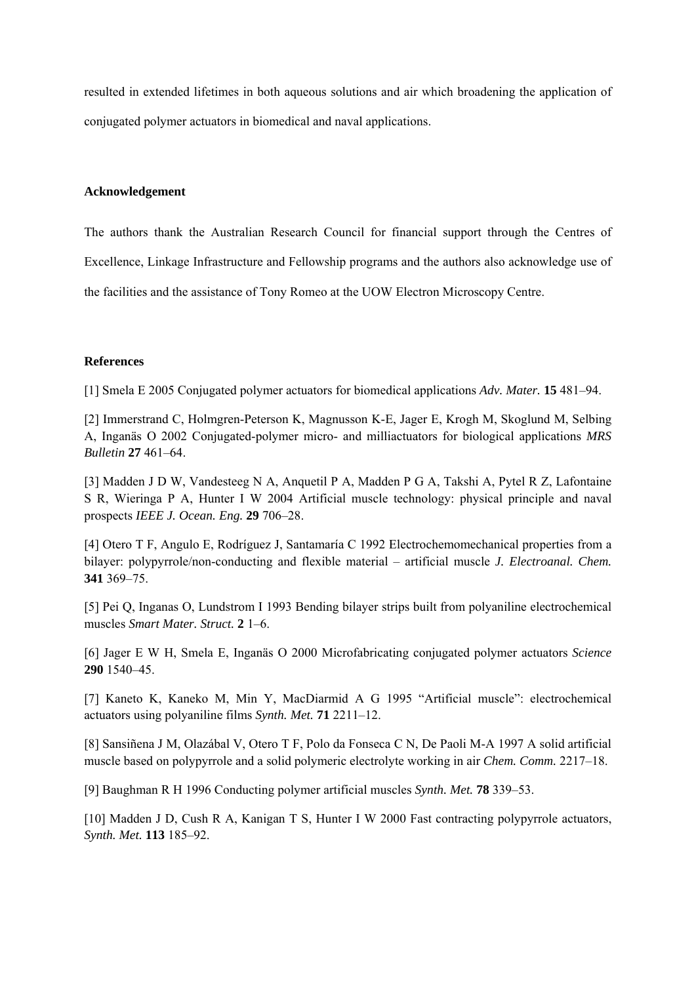resulted in extended lifetimes in both aqueous solutions and air which broadening the application of conjugated polymer actuators in biomedical and naval applications.

### **Acknowledgement**

The authors thank the Australian Research Council for financial support through the Centres of Excellence, Linkage Infrastructure and Fellowship programs and the authors also acknowledge use of the facilities and the assistance of Tony Romeo at the UOW Electron Microscopy Centre.

### **References**

[1] Smela E 2005 Conjugated polymer actuators for biomedical applications *Adv. Mater.* **15** 481–94.

[2] Immerstrand C, Holmgren-Peterson K, Magnusson K-E, Jager E, Krogh M, Skoglund M, Selbing A, Inganäs O 2002 Conjugated-polymer micro- and milliactuators for biological applications *MRS Bulletin* **27** 461–64.

[3] Madden J D W, Vandesteeg N A, Anquetil P A, Madden P G A, Takshi A, Pytel R Z, Lafontaine S R, Wieringa P A, Hunter I W 2004 Artificial muscle technology: physical principle and naval prospects *IEEE J. Ocean. Eng.* **29** 706–28.

[4] Otero T F, Angulo E, Rodríguez J, Santamaría C 1992 Electrochemomechanical properties from a bilayer: polypyrrole/non-conducting and flexible material – artificial muscle *J. Electroanal. Chem.* **341** 369–75.

[5] Pei Q, Inganas O, Lundstrom I 1993 Bending bilayer strips built from polyaniline electrochemical muscles *Smart Mater. Struct.* **2** 1–6.

[6] Jager E W H, Smela E, Inganäs O 2000 Microfabricating conjugated polymer actuators *Science* **290** 1540–45.

[7] Kaneto K, Kaneko M, Min Y, MacDiarmid A G 1995 "Artificial muscle": electrochemical actuators using polyaniline films *Synth. Met.* **71** 2211–12.

[8] Sansiñena J M, Olazábal V, Otero T F, Polo da Fonseca C N, De Paoli M-A 1997 A solid artificial muscle based on polypyrrole and a solid polymeric electrolyte working in air *Chem. Comm.* 2217–18.

[9] Baughman R H 1996 Conducting polymer artificial muscles *Synth. Met.* **78** 339–53.

[10] Madden J D, Cush R A, Kanigan T S, Hunter I W 2000 Fast contracting polypyrrole actuators, *Synth. Met.* **113** 185–92.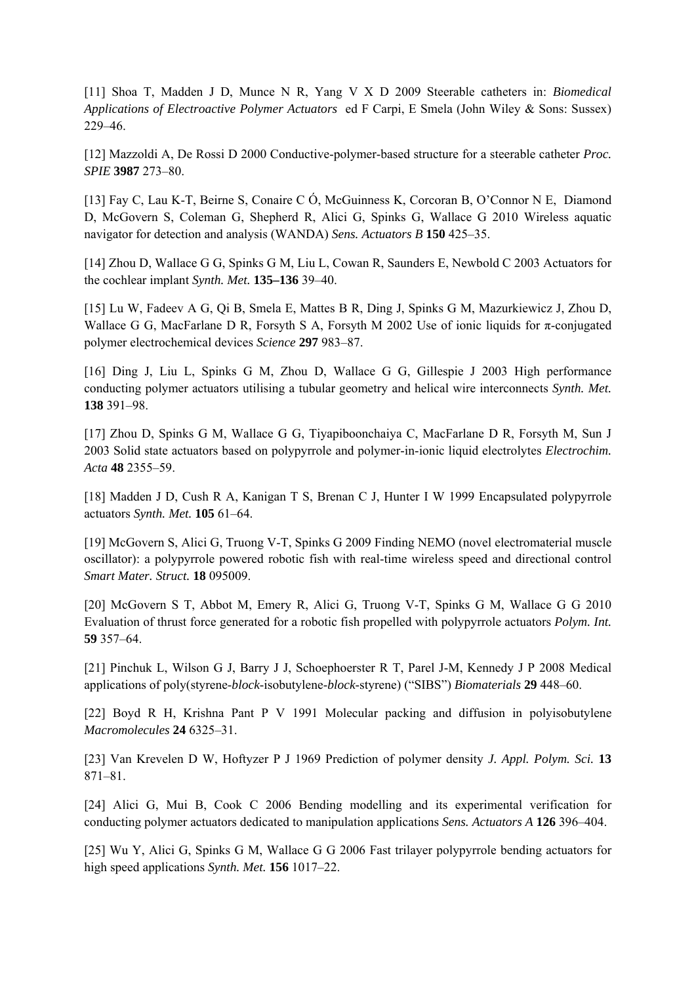[11] Shoa T, Madden J D, Munce N R, Yang V X D 2009 Steerable catheters in: *Biomedical Applications of Electroactive Polymer Actuators* ed F Carpi, E Smela (John Wiley & Sons: Sussex) 229–46.

[12] Mazzoldi A, De Rossi D 2000 Conductive-polymer-based structure for a steerable catheter *Proc. SPIE* **3987** 273–80.

[13] Fay C, Lau K-T, Beirne S, Conaire C Ó, McGuinness K, Corcoran B, O'Connor N E, Diamond D, McGovern S, Coleman G, Shepherd R, Alici G, Spinks G, Wallace G 2010 Wireless aquatic navigator for detection and analysis (WANDA) *Sens. Actuators B* **150** 425–35.

[14] Zhou D, Wallace G G, Spinks G M, Liu L, Cowan R, Saunders E, Newbold C 2003 Actuators for the cochlear implant *Synth. Met.* **135–136** 39–40.

[15] Lu W, Fadeev A G, Qi B, Smela E, Mattes B R, Ding J, Spinks G M, Mazurkiewicz J, Zhou D, Wallace G G, MacFarlane D R, Forsyth S A, Forsyth M 2002 Use of ionic liquids for π-conjugated polymer electrochemical devices *Science* **297** 983–87.

[16] Ding J, Liu L, Spinks G M, Zhou D, Wallace G G, Gillespie J 2003 High performance conducting polymer actuators utilising a tubular geometry and helical wire interconnects *Synth. Met.* **138** 391–98.

[17] Zhou D, Spinks G M, Wallace G G, Tiyapiboonchaiya C, MacFarlane D R, Forsyth M, Sun J 2003 Solid state actuators based on polypyrrole and polymer-in-ionic liquid electrolytes *Electrochim. Acta* **48** 2355–59.

[18] Madden J D, Cush R A, Kanigan T S, Brenan C J, Hunter I W 1999 Encapsulated polypyrrole actuators *Synth. Met.* **105** 61–64.

[19] McGovern S, Alici G, Truong V-T, Spinks G 2009 Finding NEMO (novel electromaterial muscle oscillator): a polypyrrole powered robotic fish with real-time wireless speed and directional control *Smart Mater. Struct.* **18** 095009.

[20] McGovern S T, Abbot M, Emery R, Alici G, Truong V-T, Spinks G M, Wallace G G 2010 Evaluation of thrust force generated for a robotic fish propelled with polypyrrole actuators *Polym. Int.* **59** 357–64.

[21] Pinchuk L, Wilson G J, Barry J J, Schoephoerster R T, Parel J-M, Kennedy J P 2008 Medical applications of poly(styrene-*block*-isobutylene-*block*-styrene) ("SIBS") *Biomaterials* **29** 448–60.

[22] Boyd R H, Krishna Pant P V 1991 Molecular packing and diffusion in polyisobutylene *Macromolecules* **24** 6325–31.

[23] Van Krevelen D W, Hoftyzer P J 1969 Prediction of polymer density *J. Appl. Polym. Sci.* **13** 871–81.

[24] Alici G, Mui B, Cook C 2006 Bending modelling and its experimental verification for conducting polymer actuators dedicated to manipulation applications *Sens. Actuators A* **126** 396–404.

[25] Wu Y, Alici G, Spinks G M, Wallace G G 2006 Fast trilayer polypyrrole bending actuators for high speed applications *Synth. Met.* **156** 1017–22.